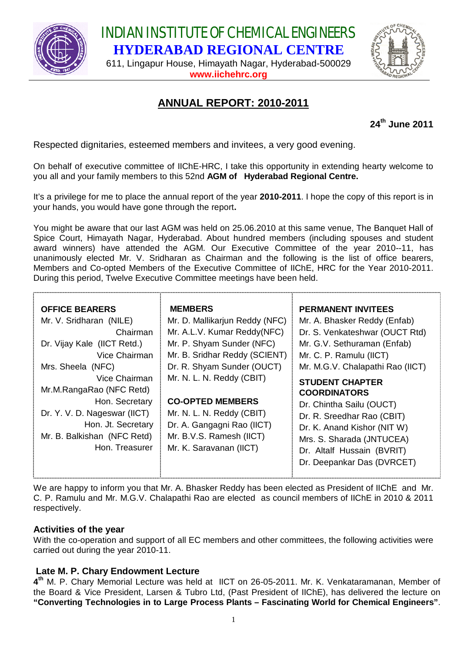

INDIAN INSTITUTE OF CHEMICAL ENGINEERS **HYDERABAD REGIONAL CENTRE**

611, Lingapur House, Himayath Nagar, Hyderabad-500029 **www.iichehrc.org**



# **ANNUAL REPORT: 2010-2011**

**24th June 2011**

Respected dignitaries, esteemed members and invitees, a very good evening.

On behalf of executive committee of IIChE-HRC, I take this opportunity in extending hearty welcome to you all and your family members to this 52nd **AGM of Hyderabad Regional Centre.**

It's a privilege for me to place the annual report of the year **2010-2011**. I hope the copy of this report is in your hands, you would have gone through the report**.** 

You might be aware that our last AGM was held on 25.06.2010 at this same venue, The Banquet Hall of Spice Court, Himayath Nagar, Hyderabad. About hundred members (including spouses and student award winners) have attended the AGM. Our Executive Committee of the year 2010--11, has unanimously elected Mr. V. Sridharan as Chairman and the following is the list of office bearers, Members and Co-opted Members of the Executive Committee of IIChE, HRC for the Year 2010-2011. During this period, Twelve Executive Committee meetings have been held.

| <b>OFFICE BEARERS</b><br>Mr. V. Sridharan (NILE)<br>Chairman<br>Dr. Vijay Kale (ICT Retd.)<br>Vice Chairman<br>Mrs. Sheela (NFC)<br>Vice Chairman<br>Mr.M.RangaRao (NFC Retd)<br>Hon. Secretary<br>Dr. Y. V. D. Nageswar (IICT)<br>Hon. Jt. Secretary<br>Mr. B. Balkishan (NFC Retd)<br>Hon. Treasurer | <b>MEMBERS</b><br>Mr. D. Mallikarjun Reddy (NFC)<br>Mr. A.L.V. Kumar Reddy(NFC)<br>Mr. P. Shyam Sunder (NFC)<br>Mr. B. Sridhar Reddy (SCIENT)<br>Dr. R. Shyam Sunder (OUCT)<br>Mr. N. L. N. Reddy (CBIT)<br><b>CO-OPTED MEMBERS</b><br>Mr. N. L. N. Reddy (CBIT)<br>Dr. A. Gangagni Rao (IICT)<br>Mr. B.V.S. Ramesh (IICT)<br>Mr. K. Saravanan (IICT) | <b>PERMANENT INVITEES</b><br>Mr. A. Bhasker Reddy (Enfab)<br>Dr. S. Venkateshwar (OUCT Rtd)<br>Mr. G.V. Sethuraman (Enfab)<br>Mr. C. P. Ramulu (IICT)<br>Mr. M.G.V. Chalapathi Rao (IICT)<br><b>STUDENT CHAPTER</b><br><b>COORDINATORS</b><br>Dr. Chintha Sailu (OUCT)<br>Dr. R. Sreedhar Rao (CBIT)<br>Dr. K. Anand Kishor (NIT W)<br>Mrs. S. Sharada (JNTUCEA)<br>Dr. Altalf Hussain (BVRIT) |
|--------------------------------------------------------------------------------------------------------------------------------------------------------------------------------------------------------------------------------------------------------------------------------------------------------|-------------------------------------------------------------------------------------------------------------------------------------------------------------------------------------------------------------------------------------------------------------------------------------------------------------------------------------------------------|------------------------------------------------------------------------------------------------------------------------------------------------------------------------------------------------------------------------------------------------------------------------------------------------------------------------------------------------------------------------------------------------|
|                                                                                                                                                                                                                                                                                                        |                                                                                                                                                                                                                                                                                                                                                       | Dr. Deepankar Das (DVRCET)                                                                                                                                                                                                                                                                                                                                                                     |

We are happy to inform you that Mr. A. Bhasker Reddy has been elected as President of IIChE and Mr. C. P. Ramulu and Mr. M.G.V. Chalapathi Rao are elected as council members of IIChE in 2010 & 2011 respectively.

## **Activities of the year**

With the co-operation and support of all EC members and other committees, the following activities were carried out during the year 2010-11.

## **Late M. P. Chary Endowment Lecture**

**4 th** M. P. Chary Memorial Lecture was held at IICT on 26-05-2011. Mr. K. Venkataramanan, Member of the Board & Vice President, Larsen & Tubro Ltd, (Past President of IIChE), has delivered the lecture on **"Converting Technologies in to Large Process Plants – Fascinating World for Chemical Engineers"**.